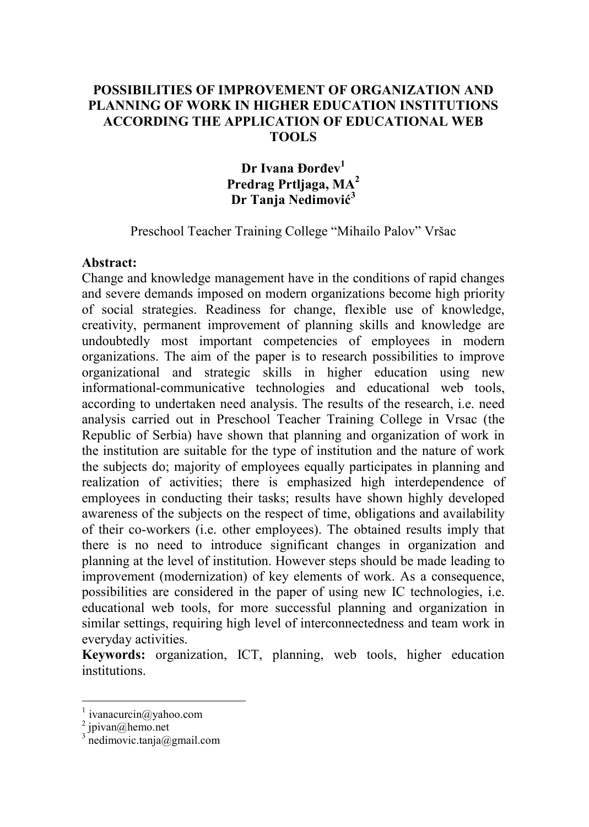### **POSSIBILITIES OF IMPROVEMENT OF ORGANIZATION AND PLANNING OF WORK IN HIGHER EDUCATION INSTITUTIONS ACCORDING THE APPLICATION OF EDUCATIONAL WEB TOOLS**

# **Dr Ivana Đorđev<sup>1</sup> Predrag Prtljaga, MA<sup>2</sup> Dr Tanja Nedimović<sup>3</sup>**

Preschool Teacher Training College "Mihailo Palov" Vršac

#### **Abstract:**

Change and knowledge management have in the conditions of rapid changes and severe demands imposed on modern organizations become high priority of social strategies. Readiness for change, flexible use of knowledge, creativity, permanent improvement of planning skills and knowledge are undoubtedly most important competencies of employees in modern organizations. The aim of the paper is to research possibilities to improve organizational and strategic skills in higher education using new informational-communicative technologies and educational web tools, according to undertaken need analysis. The results of the research, i.e. need analysis carried out in Preschool Teacher Training College in Vrsac (the Republic of Serbia) have shown that planning and organization of work in the institution are suitable for the type of institution and the nature of work the subjects do; majority of employees equally participates in planning and realization of activities; there is emphasized high interdependence of employees in conducting their tasks; results have shown highly developed awareness of the subjects on the respect of time, obligations and availability of their co-workers (i.e. other employees). The obtained results imply that there is no need to introduce significant changes in organization and planning at the level of institution. However steps should be made leading to improvement (modernization) of key elements of work. As a consequence, possibilities are considered in the paper of using new IC technologies, i.e. educational web tools, for more successful planning and organization in similar settings, requiring high level of interconnectedness and team work in everyday activities.

**Keywords:** organization, ICT, planning, web tools, higher education institutions.

 $\overline{a}$ 

<sup>1</sup> ivanacurcin@yahoo.com

 $2$  jpivan@hemo.net

<sup>3</sup> nedimovic.tanja@gmail.com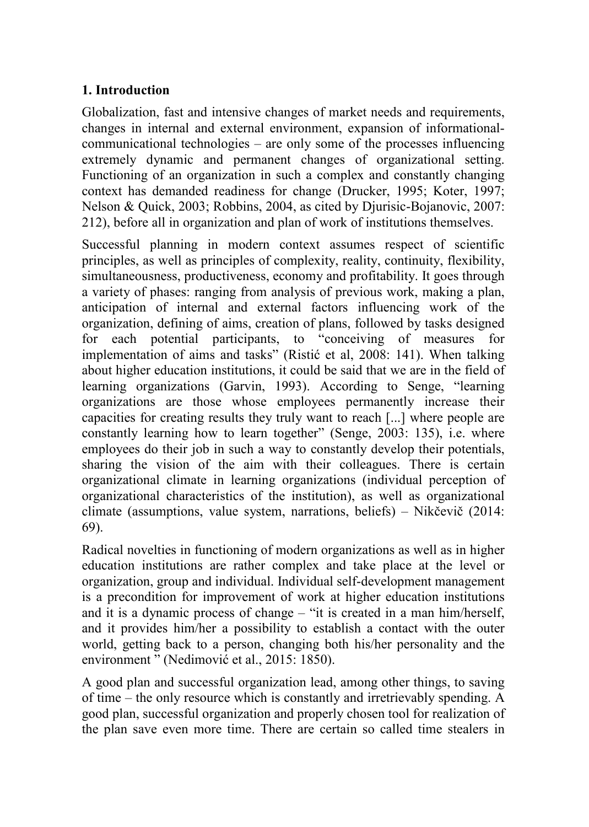# **1. Introduction**

Globalization, fast and intensive changes of market needs and requirements, changes in internal and external environment, expansion of informationalcommunicational technologies – are only some of the processes influencing extremely dynamic and permanent changes of organizational setting. Functioning of an organization in such a complex and constantly changing context has demanded readiness for change (Drucker, 1995; Koter, 1997; Nelson & Quick, 2003; Robbins, 2004, as cited by Djurisic-Bojanovic, 2007: 212), before all in organization and plan of work of institutions themselves.

Successful planning in modern context assumes respect of scientific principles, as well as principles of complexity, reality, continuity, flexibility, simultaneousness, productiveness, economy and profitability. It goes through a variety of phases: ranging from analysis of previous work, making a plan, anticipation of internal and external factors influencing work of the organization, defining of aims, creation of plans, followed by tasks designed for each potential participants, to "conceiving of measures for implementation of aims and tasks" (Ristić et al, 2008: 141). When talking about higher education institutions, it could be said that we are in the field of learning organizations (Garvin, 1993). According to Senge, "learning organizations are those whose employees permanently increase their capacities for creating results they truly want to reach [...] where people are constantly learning how to learn together" (Senge, 2003: 135), i.e. where employees do their job in such a way to constantly develop their potentials, sharing the vision of the aim with their colleagues. There is certain organizational climate in learning organizations (individual perception of organizational characteristics of the institution), as well as organizational climate (assumptions, value system, narrations, beliefs) – Nikčevič (2014: 69).

Radical novelties in functioning of modern organizations as well as in higher education institutions are rather complex and take place at the level or organization, group and individual. Individual self-development management is a precondition for improvement of work at higher education institutions and it is a dynamic process of change – "it is created in a man him/herself, and it provides him/her a possibility to establish a contact with the outer world, getting back to a person, changing both his/her personality and the environment " (Nedimović et al., 2015: 1850).

A good plan and successful organization lead, among other things, to saving of time – the only resource which is constantly and irretrievably spending. A good plan, successful organization and properly chosen tool for realization of the plan save even more time. There are certain so called time stealers in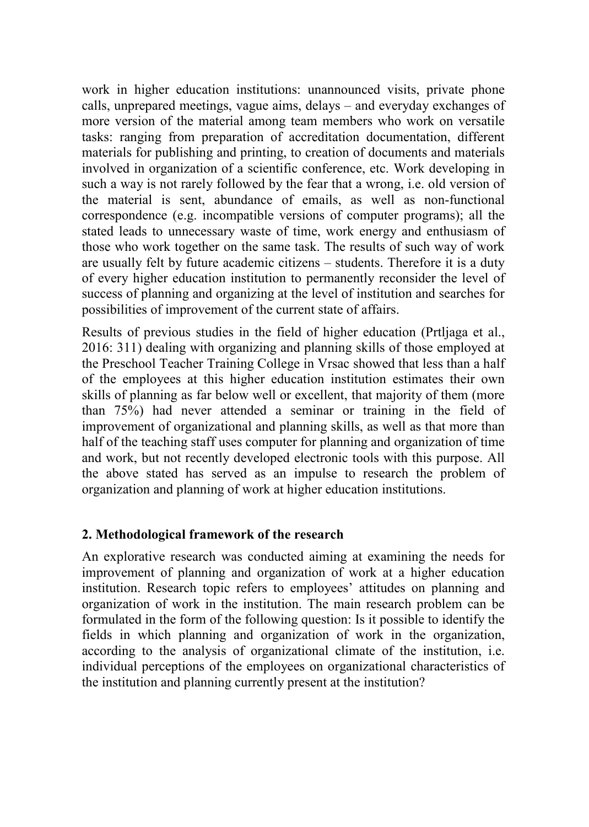work in higher education institutions: unannounced visits, private phone calls, unprepared meetings, vague aims, delays – and everyday exchanges of more version of the material among team members who work on versatile tasks: ranging from preparation of accreditation documentation, different materials for publishing and printing, to creation of documents and materials involved in organization of a scientific conference, etc. Work developing in such a way is not rarely followed by the fear that a wrong, i.e. old version of the material is sent, abundance of emails, as well as non-functional correspondence (e.g. incompatible versions of computer programs); all the stated leads to unnecessary waste of time, work energy and enthusiasm of those who work together on the same task. The results of such way of work are usually felt by future academic citizens – students. Therefore it is a duty of every higher education institution to permanently reconsider the level of success of planning and organizing at the level of institution and searches for possibilities of improvement of the current state of affairs.

Results of previous studies in the field of higher education (Prtljaga et al., 2016: 311) dealing with organizing and planning skills of those employed at the Preschool Teacher Training College in Vrsac showed that less than a half of the employees at this higher education institution estimates their own skills of planning as far below well or excellent, that majority of them (more than 75%) had never attended a seminar or training in the field of improvement of organizational and planning skills, as well as that more than half of the teaching staff uses computer for planning and organization of time and work, but not recently developed electronic tools with this purpose. All the above stated has served as an impulse to research the problem of organization and planning of work at higher education institutions.

## **2. Methodological framework of the research**

An explorative research was conducted aiming at examining the needs for improvement of planning and organization of work at a higher education institution. Research topic refers to employees' attitudes on planning and organization of work in the institution. The main research problem can be formulated in the form of the following question: Is it possible to identify the fields in which planning and organization of work in the organization, according to the analysis of organizational climate of the institution, i.e. individual perceptions of the employees on organizational characteristics of the institution and planning currently present at the institution?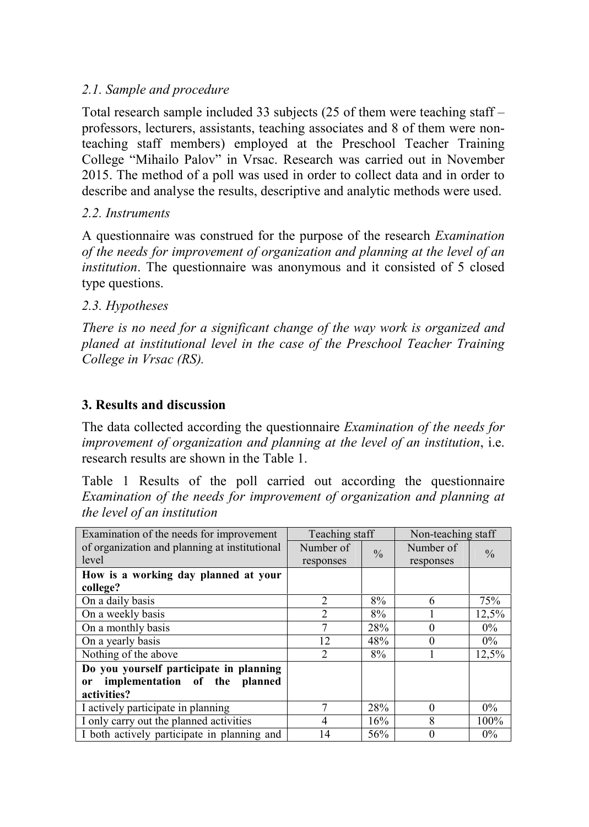## *2.1. Sample and procedure*

Total research sample included 33 subjects (25 of them were teaching staff – professors, lecturers, assistants, teaching associates and 8 of them were nonteaching staff members) employed at the Preschool Teacher Training College "Mihailo Palov" in Vrsac. Research was carried out in November 2015. The method of a poll was used in order to collect data and in order to describe and analyse the results, descriptive and analytic methods were used.

## *2.2. Instruments*

A questionnaire was construed for the purpose of the research *Examination of the needs for improvement of organization and planning at the level of an institution*. The questionnaire was anonymous and it consisted of 5 closed type questions.

## *2.3. Hypotheses*

*There is no need for a significant change of the way work is organized and planed at institutional level in the case of the Preschool Teacher Training College in Vrsac (RS).* 

# **3. Results and discussion**

The data collected according the questionnaire *Examination of the needs for improvement of organization and planning at the level of an institution*, i.e. research results are shown in the Table 1.

Table 1 Results of the poll carried out according the questionnaire *Examination of the needs for improvement of organization and planning at the level of an institution*

| Examination of the needs for improvement       | Teaching staff |               | Non-teaching staff |               |
|------------------------------------------------|----------------|---------------|--------------------|---------------|
| of organization and planning at institutional  | Number of      | $\frac{0}{0}$ | Number of          | $\frac{0}{0}$ |
| level                                          | responses      |               | responses          |               |
| How is a working day planned at your           |                |               |                    |               |
| college?                                       |                |               |                    |               |
| On a daily basis                               | 2              | 8%            | 6                  | 75%           |
| On a weekly basis                              | $\overline{2}$ | 8%            |                    | 12,5%         |
| On a monthly basis                             | 7              | 28%           | 0                  | $0\%$         |
| On a yearly basis                              | 12             | 48%           | $\mathbf{\Omega}$  | $0\%$         |
| Nothing of the above                           | $\overline{2}$ | 8%            |                    | 12,5%         |
| Do you yourself participate in planning        |                |               |                    |               |
| implementation of the planned<br><sub>or</sub> |                |               |                    |               |
| activities?                                    |                |               |                    |               |
| I actively participate in planning             | 7              | 28%           | 0                  | $0\%$         |
| I only carry out the planned activities        | 4              | 16%           | 8                  | 100%          |
| I both actively participate in planning and    | 14             | 56%           |                    | $0\%$         |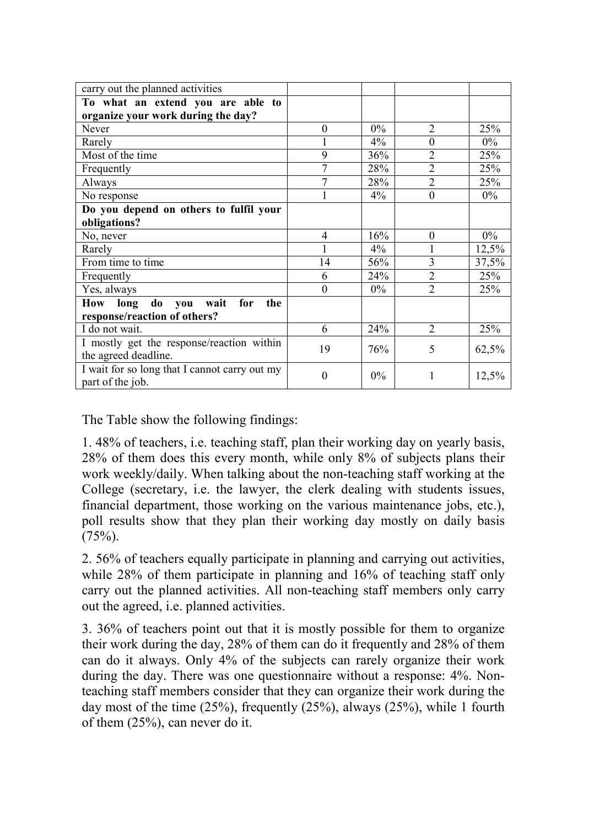| carry out the planned activities                                  |                |       |                |       |
|-------------------------------------------------------------------|----------------|-------|----------------|-------|
| To what an extend you are able to                                 |                |       |                |       |
| organize your work during the day?                                |                |       |                |       |
| Never                                                             | $\theta$       | $0\%$ | $\overline{2}$ | 25%   |
| Rarely                                                            |                | $4\%$ | $\theta$       | $0\%$ |
| Most of the time                                                  | 9              | 36%   | $\overline{2}$ | 25%   |
| Frequently                                                        | 7              | 28%   | $\overline{2}$ | 25%   |
| Always                                                            | 7              | 28%   | $\overline{2}$ | 25%   |
| No response                                                       |                | 4%    | $\theta$       | $0\%$ |
| Do you depend on others to fulfil your                            |                |       |                |       |
| obligations?                                                      |                |       |                |       |
| No, never                                                         | $\overline{4}$ | 16%   | $\Omega$       | $0\%$ |
| Rarely                                                            |                | $4\%$ |                | 12,5% |
| From time to time                                                 | 14             | 56%   | 3              | 37,5% |
| Frequently                                                        | 6              | 24%   | $\overline{2}$ | 25%   |
| Yes, always                                                       | $\theta$       | $0\%$ | $\overline{2}$ | 25%   |
| How long<br>do you<br>wait<br>for<br>the                          |                |       |                |       |
| response/reaction of others?                                      |                |       |                |       |
| I do not wait.                                                    | 6              | 24%   | $\overline{2}$ | 25%   |
| I mostly get the response/reaction within<br>the agreed deadline. | 19             | 76%   | 5              | 62,5% |
| I wait for so long that I cannot carry out my<br>part of the job. | $\theta$       | $0\%$ | 1              | 12,5% |

The Table show the following findings:

1. 48% of teachers, i.e. teaching staff, plan their working day on yearly basis, 28% of them does this every month, while only 8% of subjects plans their work weekly/daily. When talking about the non-teaching staff working at the College (secretary, i.e. the lawyer, the clerk dealing with students issues, financial department, those working on the various maintenance jobs, etc.), poll results show that they plan their working day mostly on daily basis  $(75%)$ .

2. 56% of teachers equally participate in planning and carrying out activities, while 28% of them participate in planning and 16% of teaching staff only carry out the planned activities. All non-teaching staff members only carry out the agreed, i.e. planned activities.

3. 36% of teachers point out that it is mostly possible for them to organize their work during the day, 28% of them can do it frequently and 28% of them can do it always. Only 4% of the subjects can rarely organize their work during the day. There was one questionnaire without a response: 4%. Nonteaching staff members consider that they can organize their work during the day most of the time (25%), frequently (25%), always (25%), while 1 fourth of them (25%), can never do it.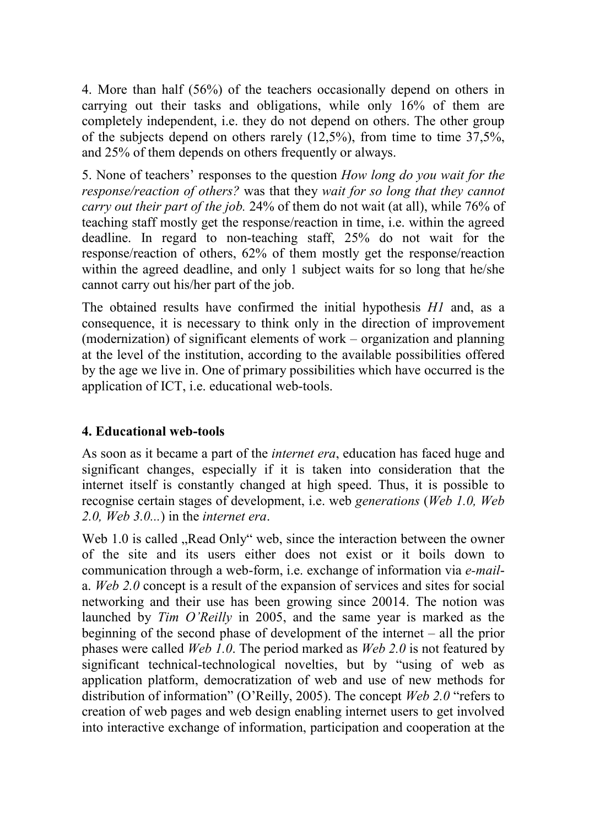4. More than half (56%) of the teachers occasionally depend on others in carrying out their tasks and obligations, while only 16% of them are completely independent, i.e. they do not depend on others. The other group of the subjects depend on others rarely (12,5%), from time to time 37,5%, and 25% of them depends on others frequently or always.

5. None of teachers' responses to the question *How long do you wait for the response/reaction of others?* was that they *wait for so long that they cannot carry out their part of the job.* 24% of them do not wait (at all), while 76% of teaching staff mostly get the response/reaction in time, i.e. within the agreed deadline. In regard to non-teaching staff, 25% do not wait for the response/reaction of others, 62% of them mostly get the response/reaction within the agreed deadline, and only 1 subject waits for so long that he/she cannot carry out his/her part of the job.

The obtained results have confirmed the initial hypothesis *H1* and, as a consequence, it is necessary to think only in the direction of improvement (modernization) of significant elements of work – organization and planning at the level of the institution, according to the available possibilities offered by the age we live in. One of primary possibilities which have occurred is the application of ICT, i.e. educational web-tools.

## **4. Educational web-tools**

As soon as it became a part of the *internet era*, education has faced huge and significant changes, especially if it is taken into consideration that the internet itself is constantly changed at high speed. Thus, it is possible to recognise certain stages of development, i.e. web *generations* (*Web 1.0, Web 2.0, Web 3.0...*) in the *internet era*.

Web 1.0 is called . Read Only" web, since the interaction between the owner of the site and its users either does not exist or it boils down to communication through a web-form, i.e. exchange of information via *e-mail*a. *Web 2.0* concept is a result of the expansion of services and sites for social networking and their use has been growing since 20014. The notion was launched by *Tim O'Reilly* in 2005, and the same year is marked as the beginning of the second phase of development of the internet – all the prior phases were called *Web 1.0*. The period marked as *Web 2.0* is not featured by significant technical-technological novelties, but by "using of web as application platform, democratization of web and use of new methods for distribution of information" (O'Reilly, 2005). The concept *Web 2.0* "refers to creation of web pages and web design enabling internet users to get involved into interactive exchange of information, participation and cooperation at the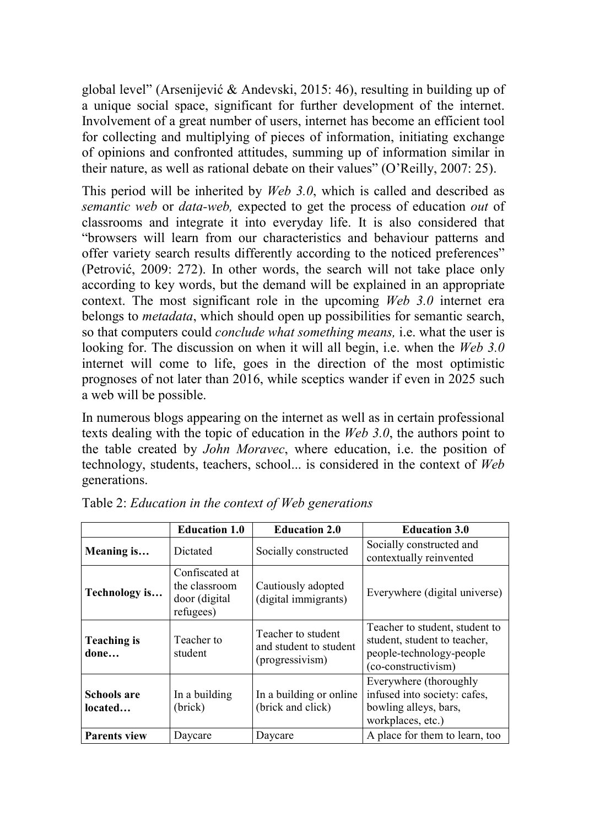global level" (Arsenijević & Andevski, 2015: 46), resulting in building up of a unique social space, significant for further development of the internet. Involvement of a great number of users, internet has become an efficient tool for collecting and multiplying of pieces of information, initiating exchange of opinions and confronted attitudes, summing up of information similar in their nature, as well as rational debate on their values" (O'Reilly, 2007: 25).

This period will be inherited by *Web 3.0*, which is called and described as *semantic web* or *data-web,* expected to get the process of education *out* of classrooms and integrate it into everyday life. It is also considered that "browsers will learn from our characteristics and behaviour patterns and offer variety search results differently according to the noticed preferences" (Petrović, 2009: 272). In other words, the search will not take place only according to key words, but the demand will be explained in an appropriate context. The most significant role in the upcoming *Web 3.0* internet era belongs to *metadata*, which should open up possibilities for semantic search, so that computers could *conclude what something means,* i.e. what the user is looking for. The discussion on when it will all begin, i.e. when the *Web 3.0* internet will come to life, goes in the direction of the most optimistic prognoses of not later than 2016, while sceptics wander if even in 2025 such a web will be possible.

In numerous blogs appearing on the internet as well as in certain professional texts dealing with the topic of education in the *Web 3.0*, the authors point to the table created by *John Moravec*, where education, i.e. the position of technology, students, teachers, school... is considered in the context of *Web* generations.

|                            | <b>Education 1.0</b>                                          | <b>Education 2.0</b>                                            | <b>Education 3.0</b>                                                                                              |
|----------------------------|---------------------------------------------------------------|-----------------------------------------------------------------|-------------------------------------------------------------------------------------------------------------------|
| Meaning is                 | Dictated                                                      | Socially constructed                                            | Socially constructed and<br>contextually reinvented                                                               |
| Technology is              | Confiscated at<br>the classroom<br>door (digital<br>refugees) | Cautiously adopted<br>(digital immigrants)                      | Everywhere (digital universe)                                                                                     |
| <b>Teaching is</b><br>done | Teacher to<br>student                                         | Teacher to student<br>and student to student<br>(progressivism) | Teacher to student, student to<br>student, student to teacher,<br>people-technology-people<br>(co-constructivism) |
| Schools are<br>located     | In a building<br>(brick)                                      | In a building or online<br>(brick and click)                    | Everywhere (thoroughly<br>infused into society: cafes,<br>bowling alleys, bars,<br>workplaces, etc.)              |
| <b>Parents view</b>        | Daycare                                                       | Daycare                                                         | A place for them to learn, too                                                                                    |

Table 2: *Education in the context of Web generations*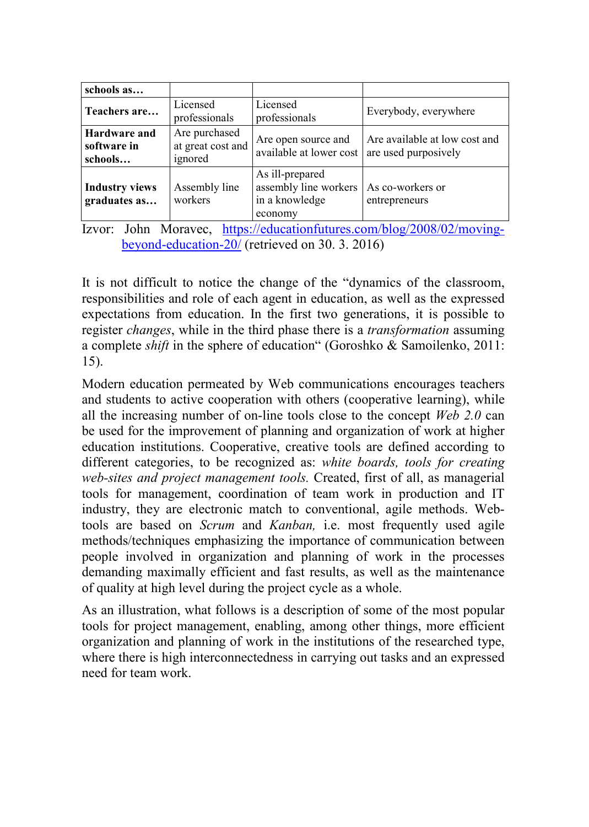| schools as                             |                                               |                                                                       |                                                       |
|----------------------------------------|-----------------------------------------------|-----------------------------------------------------------------------|-------------------------------------------------------|
| Teachers are                           | Licensed<br>professionals                     | Licensed<br>professionals                                             | Everybody, everywhere                                 |
| Hardware and<br>software in<br>schools | Are purchased<br>at great cost and<br>ignored | Are open source and<br>available at lower cost                        | Are available at low cost and<br>are used purposively |
| <b>Industry views</b><br>graduates as  | Assembly line<br>workers                      | As ill-prepared<br>assembly line workers<br>in a knowledge<br>economy | As co-workers or<br>entrepreneurs                     |

Izvor: John Moravec, https://educationfutures.com/blog/2008/02/movingbeyond-education-20/ (retrieved on 30. 3. 2016)

It is not difficult to notice the change of the "dynamics of the classroom, responsibilities and role of each agent in education, as well as the expressed expectations from education. In the first two generations, it is possible to register *changes*, while in the third phase there is a *transformation* assuming a complete *shift* in the sphere of education" (Goroshko & Samoilenko, 2011: 15).

Modern education permeated by Web communications encourages teachers and students to active cooperation with others (cooperative learning), while all the increasing number of on-line tools close to the concept *Web 2.0* can be used for the improvement of planning and organization of work at higher education institutions. Cooperative, creative tools are defined according to different categories, to be recognized as: *white boards, tools for creating web-sites and project management tools.* Created, first of all, as managerial tools for management, coordination of team work in production and IT industry, they are electronic match to conventional, agile methods. Webtools are based on *Scrum* and *Kanban,* i.e. most frequently used agile methods/techniques emphasizing the importance of communication between people involved in organization and planning of work in the processes demanding maximally efficient and fast results, as well as the maintenance of quality at high level during the project cycle as a whole.

As an illustration, what follows is a description of some of the most popular tools for project management, enabling, among other things, more efficient organization and planning of work in the institutions of the researched type, where there is high interconnectedness in carrying out tasks and an expressed need for team work.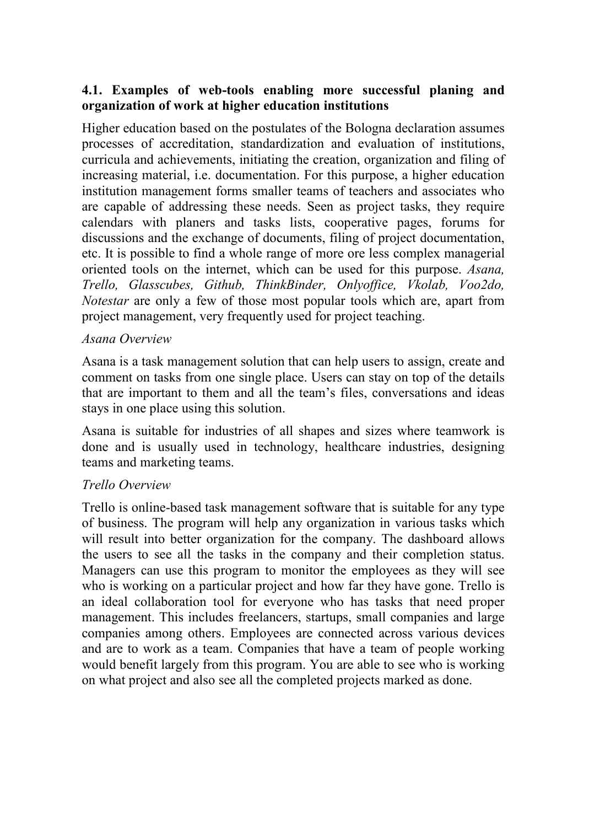## **4.1. Examples of web-tools enabling more successful planing and organization of work at higher education institutions**

Higher education based on the postulates of the Bologna declaration assumes processes of accreditation, standardization and evaluation of institutions, curricula and achievements, initiating the creation, organization and filing of increasing material, i.e. documentation. For this purpose, a higher education institution management forms smaller teams of teachers and associates who are capable of addressing these needs. Seen as project tasks, they require calendars with planers and tasks lists, cooperative pages, forums for discussions and the exchange of documents, filing of project documentation, etc. It is possible to find a whole range of more ore less complex managerial oriented tools on the internet, which can be used for this purpose. *Asana, Trello, Glasscubes, Github, ThinkBinder, Onlyoffice, Vkolab, Voo2do, Notestar* are only a few of those most popular tools which are, apart from project management, very frequently used for project teaching.

### *Asana Overview*

Asana is a task management solution that can help users to assign, create and comment on tasks from one single place. Users can stay on top of the details that are important to them and all the team's files, conversations and ideas stays in one place using this solution.

Asana is suitable for industries of all shapes and sizes where teamwork is done and is usually used in technology, healthcare industries, designing teams and marketing teams.

## *Trello Overview*

Trello is online-based task management software that is suitable for any type of business. The program will help any organization in various tasks which will result into better organization for the company. The dashboard allows the users to see all the tasks in the company and their completion status. Managers can use this program to monitor the employees as they will see who is working on a particular project and how far they have gone. Trello is an ideal collaboration tool for everyone who has tasks that need proper management. This includes freelancers, startups, small companies and large companies among others. Employees are connected across various devices and are to work as a team. Companies that have a team of people working would benefit largely from this program. You are able to see who is working on what project and also see all the completed projects marked as done.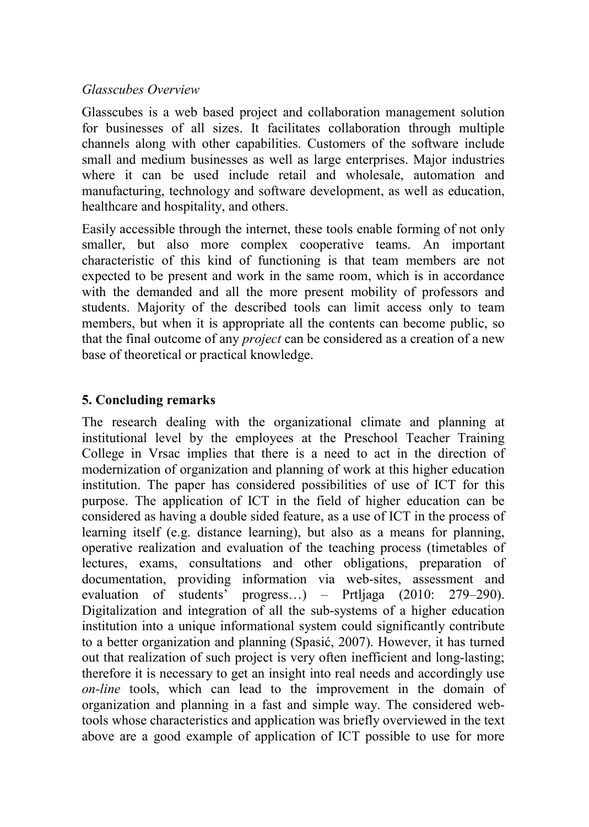### *Glasscubes Overview*

Glasscubes is a web based project and collaboration management solution for businesses of all sizes. It facilitates collaboration through multiple channels along with other capabilities. Customers of the software include small and medium businesses as well as large enterprises. Major industries where it can be used include retail and wholesale, automation and manufacturing, technology and software development, as well as education, healthcare and hospitality, and others.

Easily accessible through the internet, these tools enable forming of not only smaller, but also more complex cooperative teams. An important characteristic of this kind of functioning is that team members are not expected to be present and work in the same room, which is in accordance with the demanded and all the more present mobility of professors and students. Majority of the described tools can limit access only to team members, but when it is appropriate all the contents can become public, so that the final outcome of any *project* can be considered as a creation of a new base of theoretical or practical knowledge.

## **5. Concluding remarks**

The research dealing with the organizational climate and planning at institutional level by the employees at the Preschool Teacher Training College in Vrsac implies that there is a need to act in the direction of modernization of organization and planning of work at this higher education institution. The paper has considered possibilities of use of ICT for this purpose. The application of ICT in the field of higher education can be considered as having a double sided feature, as a use of ICT in the process of learning itself (e.g. distance learning), but also as a means for planning, operative realization and evaluation of the teaching process (timetables of lectures, exams, consultations and other obligations, preparation of documentation, providing information via web-sites, assessment and evaluation of students' progress…) – Prtljaga (2010: 279–290). Digitalization and integration of all the sub-systems of a higher education institution into a unique informational system could significantly contribute to a better organization and planning (Spasić, 2007). However, it has turned out that realization of such project is very often inefficient and long-lasting; therefore it is necessary to get an insight into real needs and accordingly use *on-line* tools, which can lead to the improvement in the domain of organization and planning in a fast and simple way. The considered webtools whose characteristics and application was briefly overviewed in the text above are a good example of application of ICT possible to use for more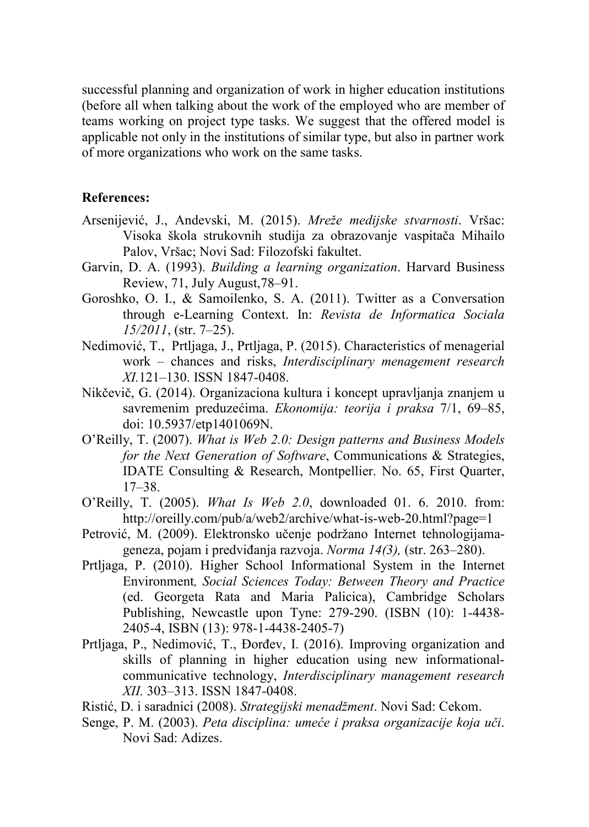successful planning and organization of work in higher education institutions (before all when talking about the work of the employed who are member of teams working on project type tasks. We suggest that the offered model is applicable not only in the institutions of similar type, but also in partner work of more organizations who work on the same tasks.

#### **References:**

- Arsenijević, J., Andevski, M. (2015). *Mreže medijske stvarnosti*. Vršac: Visoka škola strukovnih studija za obrazovanje vaspitača Mihailo Palov, Vršac; Novi Sad: Filozofski fakultet.
- Garvin, D. A. (1993). *Building a learning organization*. Harvard Business Review, 71, July August,78–91.
- Goroshko, O. I., & Samoilenko, S. A. (2011). Twitter as a Conversation through e-Learning Context. In: *Revista de Informatica Sociala 15/2011*, (str. 7–25).
- Nedimović, T., Prtljaga, J., Prtljaga, P. (2015). Characteristics of menagerial work – chances and risks, *Interdisciplinary menagement research XI.*121–130. ISSN 1847-0408.
- Nikčevič, G. (2014). Organizaciona kultura i koncept upravljanja znanjem u savremenim preduzećima. *Ekonomija: teorija i praksa* 7/1, 69–85, doi: 10.5937/etp1401069N.
- O'Reilly, T. (2007). *What is Web 2.0: Design patterns and Business Models for the Next Generation of Software*, Communications & Strategies, IDATE Consulting & Research, Montpellier. No. 65, First Quarter, 17–38.
- O'Reilly, T. (2005). *What Is Web 2.0*, downloaded 01. 6. 2010. from: http://oreilly.com/pub/a/web2/archive/what-is-web-20.html?page=1
- Petrović, M. (2009). Elektronsko učenje podržano Internet tehnologijamageneza, pojam i predviđanja razvoja. *Norma 14(3),* (str. 263–280).
- Prtljaga, P. (2010). Higher School Informational System in the Internet Environment*, Social Sciences Today: Between Theory and Practice*  (ed. Georgeta Rata and Maria Palicica), Cambridge Scholars Publishing, Newcastle upon Tyne: 279-290. (ISBN (10): 1-4438- 2405-4, ISBN (13): 978-1-4438-2405-7)
- Prtljaga, P., Nedimović, T., Đorđev, I. (2016). Improving organization and skills of planning in higher education using new informationalcommunicative technology, *Interdisciplinary management research XII.* 303–313. ISSN 1847-0408.
- Ristić, D. i saradnici (2008). *Strategijski menadžment*. Novi Sad: Cekom.
- Senge, P. M. (2003). *Peta disciplina: umeće i praksa organizacije koja uči*. Novi Sad: Adizes.